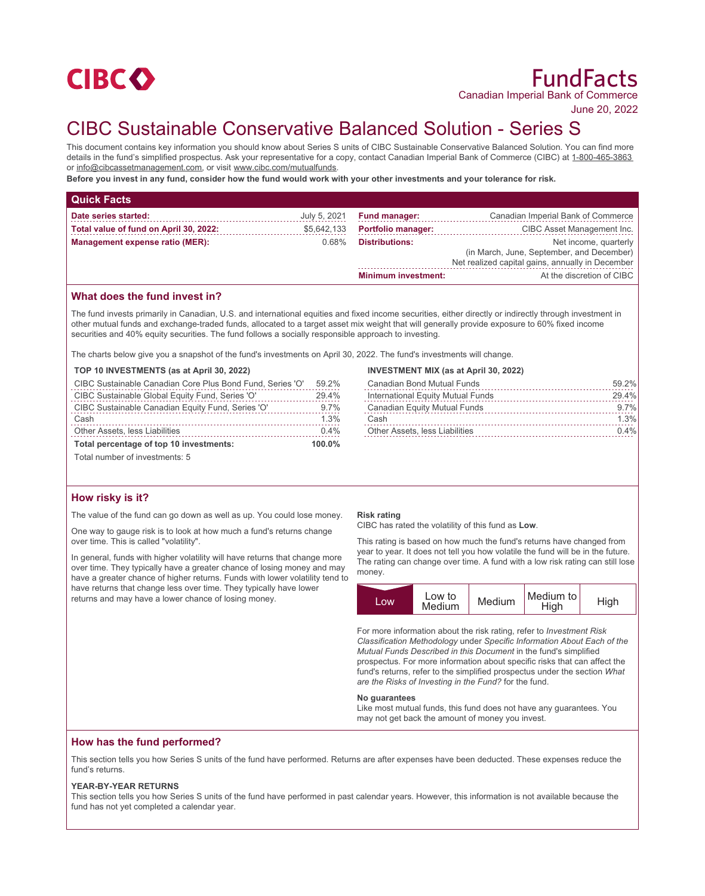

June 20, 2022

# CIBC Sustainable Conservative Balanced Solution - Series S

This document contains key information you should know about Series S units of CIBC Sustainable Conservative Balanced Solution. You can find more details in the fund's simplified prospectus. Ask your representative for a copy, contact Canadian Imperial Bank of Commerce (CIBC) at 1-800-465-3863 or info@cibcassetmanagement.com, or visit www.cibc.com/mutualfunds.

**Before you invest in any fund, consider how the fund would work with your other investments and your tolerance for risk.**

| <b>Quick Facts</b>                     |              |                            |                                                                                                                        |
|----------------------------------------|--------------|----------------------------|------------------------------------------------------------------------------------------------------------------------|
| Date series started:                   | July 5, 2021 | <b>Fund manager:</b>       | Canadian Imperial Bank of Commerce                                                                                     |
| Total value of fund on April 30, 2022: | \$5,642,133  | <b>Portfolio manager:</b>  | CIBC Asset Management Inc.                                                                                             |
| Management expense ratio (MER):        | $0.68\%$     | <b>Distributions:</b>      | Net income, quarterly<br>(in March, June, September, and December)<br>Net realized capital gains, annually in December |
|                                        |              | <b>Minimum investment:</b> | At the discretion of CIBC                                                                                              |

# **What does the fund invest in?**

The fund invests primarily in Canadian, U.S. and international equities and fixed income securities, either directly or indirectly through investment in other mutual funds and exchange-traded funds, allocated to a target asset mix weight that will generally provide exposure to 60% fixed income securities and 40% equity securities. The fund follows a socially responsible approach to investing.

The charts below give you a snapshot of the fund's investments on April 30, 2022. The fund's investments will change.

# **TOP 10 INVESTMENTS (as at April 30, 2022)**

| CIBC Sustainable Canadian Core Plus Bond Fund, Series 'O' | 59.2%     |
|-----------------------------------------------------------|-----------|
| CIBC Sustainable Global Equity Fund, Series 'O'           | 29.4%     |
| CIBC Sustainable Canadian Equity Fund, Series 'O'         | $9.7\%$   |
| Cash                                                      | 1.3%      |
| Other Assets, less Liabilities                            | $0.4\%$   |
| Total percentage of top 10 investments:                   | $100.0\%$ |

Total number of investments: 5

## **How risky is it?**

The value of the fund can go down as well as up. You could lose money.

One way to gauge risk is to look at how much a fund's returns change over time. This is called "volatility".

In general, funds with higher volatility will have returns that change more over time. They typically have a greater chance of losing money and may have a greater chance of higher returns. Funds with lower volatility tend to have returns that change less over time. They typically have lower returns and may have a lower chance of losing money.

#### **INVESTMENT MIX (as at April 30, 2022)**

| <b>Canadian Bond Mutual Funds</b>     | 59.2%   |
|---------------------------------------|---------|
| International Equity Mutual Funds     | 29.4%   |
| <b>Canadian Equity Mutual Funds</b>   | $9.7\%$ |
| Cash                                  | 1.3%    |
| <b>Other Assets, less Liabilities</b> | $0.4\%$ |

#### **Risk rating**

CIBC has rated the volatility of this fund as **Low**.

This rating is based on how much the fund's returns have changed from year to year. It does not tell you how volatile the fund will be in the future. The rating can change over time. A fund with a low risk rating can still lose money.

| Low | Low to<br>Medium | Medium | Medium to<br>High | High |
|-----|------------------|--------|-------------------|------|

For more information about the risk rating, refer to *Investment Risk Classification Methodology* under *Specific Information About Each of the Mutual Funds Described in this Document* in the fund's simplified prospectus. For more information about specific risks that can affect the fund's returns, refer to the simplified prospectus under the section *What are the Risks of Investing in the Fund?* for the fund.

#### **No guarantees**

Like most mutual funds, this fund does not have any guarantees. You may not get back the amount of money you invest.

## **How has the fund performed?**

This section tells you how Series S units of the fund have performed. Returns are after expenses have been deducted. These expenses reduce the fund's returns.

#### **YEAR-BY-YEAR RETURNS**

This section tells you how Series S units of the fund have performed in past calendar years. However, this information is not available because the fund has not yet completed a calendar year.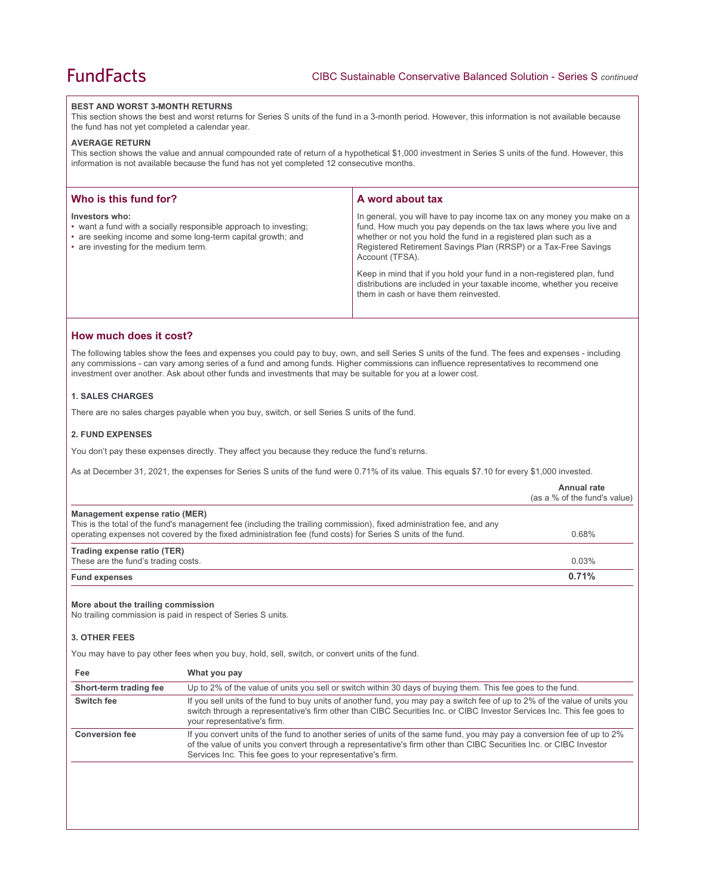## **BEST AND WORST 3-MONTH RETURNS**

This section shows the best and worst returns for Series S units of the fund in a 3-month period. However, this information is not available because the fund has not yet completed a calendar year.

### **AVERAGE RETURN**

This section shows the value and annual compounded rate of return of a hypothetical \$1,000 investment in Series S units of the fund. However, this information is not available because the fund has not yet completed 12 consecutive months.

| Who is this fund for?                                                                                                                                                                     | A word about tax                                                                                                                                                                                                                                                                                                                                                               |
|-------------------------------------------------------------------------------------------------------------------------------------------------------------------------------------------|--------------------------------------------------------------------------------------------------------------------------------------------------------------------------------------------------------------------------------------------------------------------------------------------------------------------------------------------------------------------------------|
| Investors who:<br>• want a fund with a socially responsible approach to investing;<br>• are seeking income and some long-term capital growth; and<br>• are investing for the medium term. | In general, you will have to pay income tax on any money you make on a<br>fund. How much you pay depends on the tax laws where you live and<br>whether or not you hold the fund in a registered plan such as a<br>Registered Retirement Savings Plan (RRSP) or a Tax-Free Savings<br>Account (TFSA).<br>Keep in mind that if you hold your fund in a non-registered plan, fund |
|                                                                                                                                                                                           | distributions are included in your taxable income, whether you receive<br>them in cash or have them reinvested.                                                                                                                                                                                                                                                                |

# **How much does it cost?**

The following tables show the fees and expenses you could pay to buy, own, and sell Series S units of the fund. The fees and expenses - including any commissions - can vary among series of a fund and among funds. Higher commissions can influence representatives to recommend one investment over another. Ask about other funds and investments that may be suitable for you at a lower cost.

# **1. SALES CHARGES**

There are no sales charges payable when you buy, switch, or sell Series S units of the fund.

## **2. FUND EXPENSES**

You don't pay these expenses directly. They affect you because they reduce the fund's returns.

As at December 31, 2021, the expenses for Series S units of the fund were 0.71% of its value. This equals \$7.10 for every \$1,000 invested.

|                                                                    |                                                                                                                                                                                                                                                                                     | Annual rate<br>(as a % of the fund's value) |
|--------------------------------------------------------------------|-------------------------------------------------------------------------------------------------------------------------------------------------------------------------------------------------------------------------------------------------------------------------------------|---------------------------------------------|
| Management expense ratio (MER)                                     | This is the total of the fund's management fee (including the trailing commission), fixed administration fee, and any<br>operating expenses not covered by the fixed administration fee (fund costs) for Series S units of the fund.                                                | 0.68%                                       |
| Trading expense ratio (TER)<br>These are the fund's trading costs. |                                                                                                                                                                                                                                                                                     | 0.03%                                       |
| <b>Fund expenses</b>                                               |                                                                                                                                                                                                                                                                                     | 0.71%                                       |
| More about the trailing commission<br>3. OTHER FEES                | No trailing commission is paid in respect of Series S units.                                                                                                                                                                                                                        |                                             |
|                                                                    | You may have to pay other fees when you buy, hold, sell, switch, or convert units of the fund.                                                                                                                                                                                      |                                             |
| Fee                                                                | What you pay                                                                                                                                                                                                                                                                        |                                             |
| Short-term trading fee                                             | Up to 2% of the value of units you sell or switch within 30 days of buying them. This fee goes to the fund.                                                                                                                                                                         |                                             |
| Switch fee                                                         | If you sell units of the fund to buy units of another fund, you may pay a switch fee of up to 2% of the value of units you<br>switch through a representative's firm other than CIBC Securities Inc. or CIBC Investor Services Inc. This fee goes to<br>your representative's firm. |                                             |